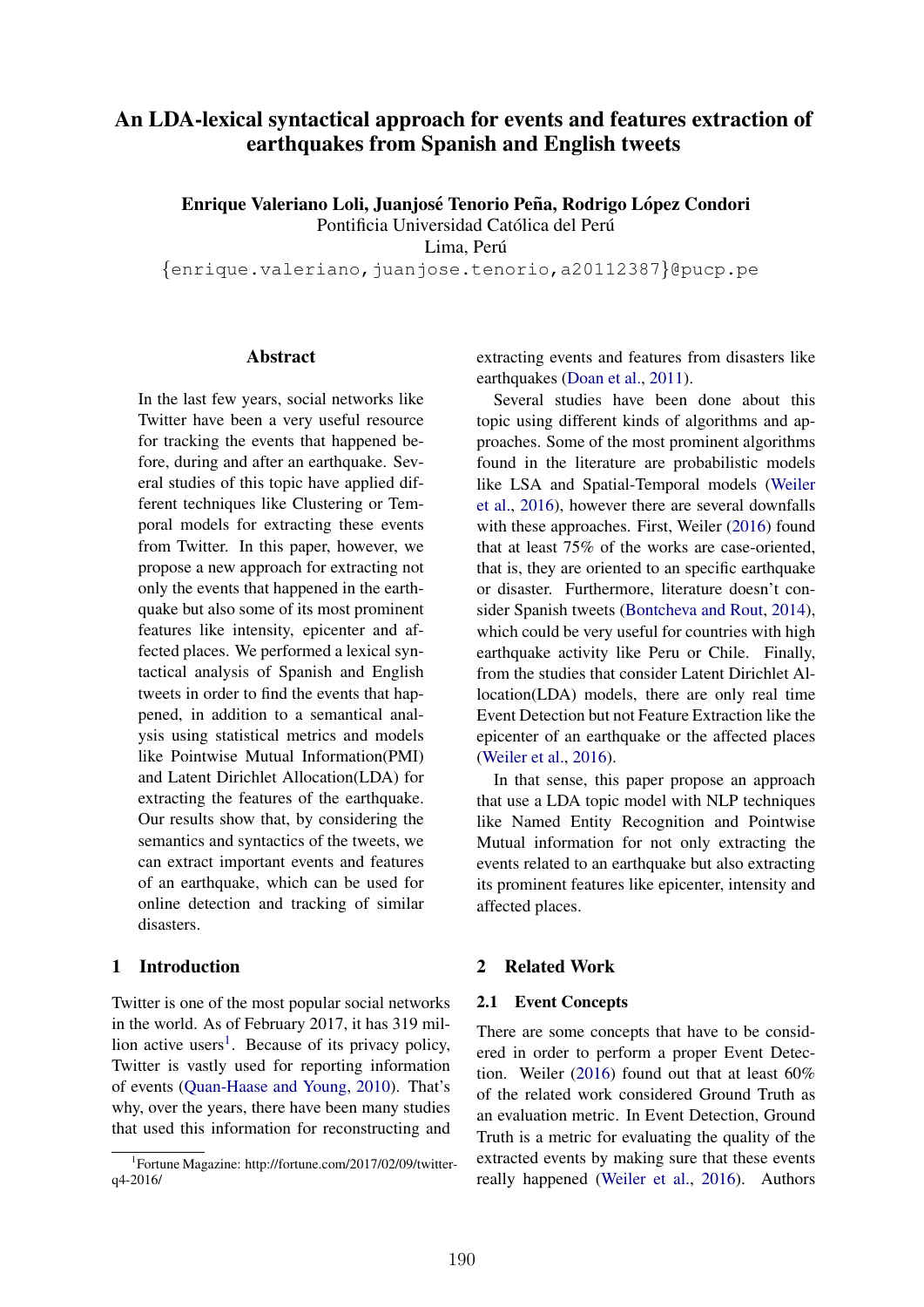# An LDA-lexical syntactical approach for events and features extraction of earthquakes from Spanish and English tweets

Enrique Valeriano Loli, Juanjosé Tenorio Peña, Rodrigo López Condori

Pontificia Universidad Católica del Perú

Lima, Perú

*{*enrique.valeriano,juanjose.tenorio,a20112387*}*@pucp.pe

### **Abstract**

In the last few years, social networks like Twitter have been a very useful resource for tracking the events that happened before, during and after an earthquake. Several studies of this topic have applied different techniques like Clustering or Temporal models for extracting these events from Twitter. In this paper, however, we propose a new approach for extracting not only the events that happened in the earthquake but also some of its most prominent features like intensity, epicenter and affected places. We performed a lexical syntactical analysis of Spanish and English tweets in order to find the events that happened, in addition to a semantical analysis using statistical metrics and models like Pointwise Mutual Information(PMI) and Latent Dirichlet Allocation(LDA) for extracting the features of the earthquake. Our results show that, by considering the semantics and syntactics of the tweets, we can extract important events and features of an earthquake, which can be used for online detection and tracking of similar disasters.

## 1 Introduction

Twitter is one of the most popular social networks in the world. As of February 2017, it has 319 million active users<sup>1</sup>. Because of its privacy policy, Twitter is vastly used for reporting information of events (Quan-Haase and Young, 2010). That's why, over the years, there have been many studies that used this information for reconstructing and extracting events and features from disasters like earthquakes (Doan et al., 2011).

Several studies have been done about this topic using different kinds of algorithms and approaches. Some of the most prominent algorithms found in the literature are probabilistic models like LSA and Spatial-Temporal models (Weiler et al., 2016), however there are several downfalls with these approaches. First, Weiler (2016) found that at least 75% of the works are case-oriented, that is, they are oriented to an specific earthquake or disaster. Furthermore, literature doesn't consider Spanish tweets (Bontcheva and Rout, 2014), which could be very useful for countries with high earthquake activity like Peru or Chile. Finally, from the studies that consider Latent Dirichlet Allocation(LDA) models, there are only real time Event Detection but not Feature Extraction like the epicenter of an earthquake or the affected places (Weiler et al., 2016).

In that sense, this paper propose an approach that use a LDA topic model with NLP techniques like Named Entity Recognition and Pointwise Mutual information for not only extracting the events related to an earthquake but also extracting its prominent features like epicenter, intensity and affected places.

## 2 Related Work

#### 2.1 Event Concepts

There are some concepts that have to be considered in order to perform a proper Event Detection. Weiler (2016) found out that at least 60% of the related work considered Ground Truth as an evaluation metric. In Event Detection, Ground Truth is a metric for evaluating the quality of the extracted events by making sure that these events really happened (Weiler et al., 2016). Authors

<sup>1</sup> Fortune Magazine: http://fortune.com/2017/02/09/twitterq4-2016/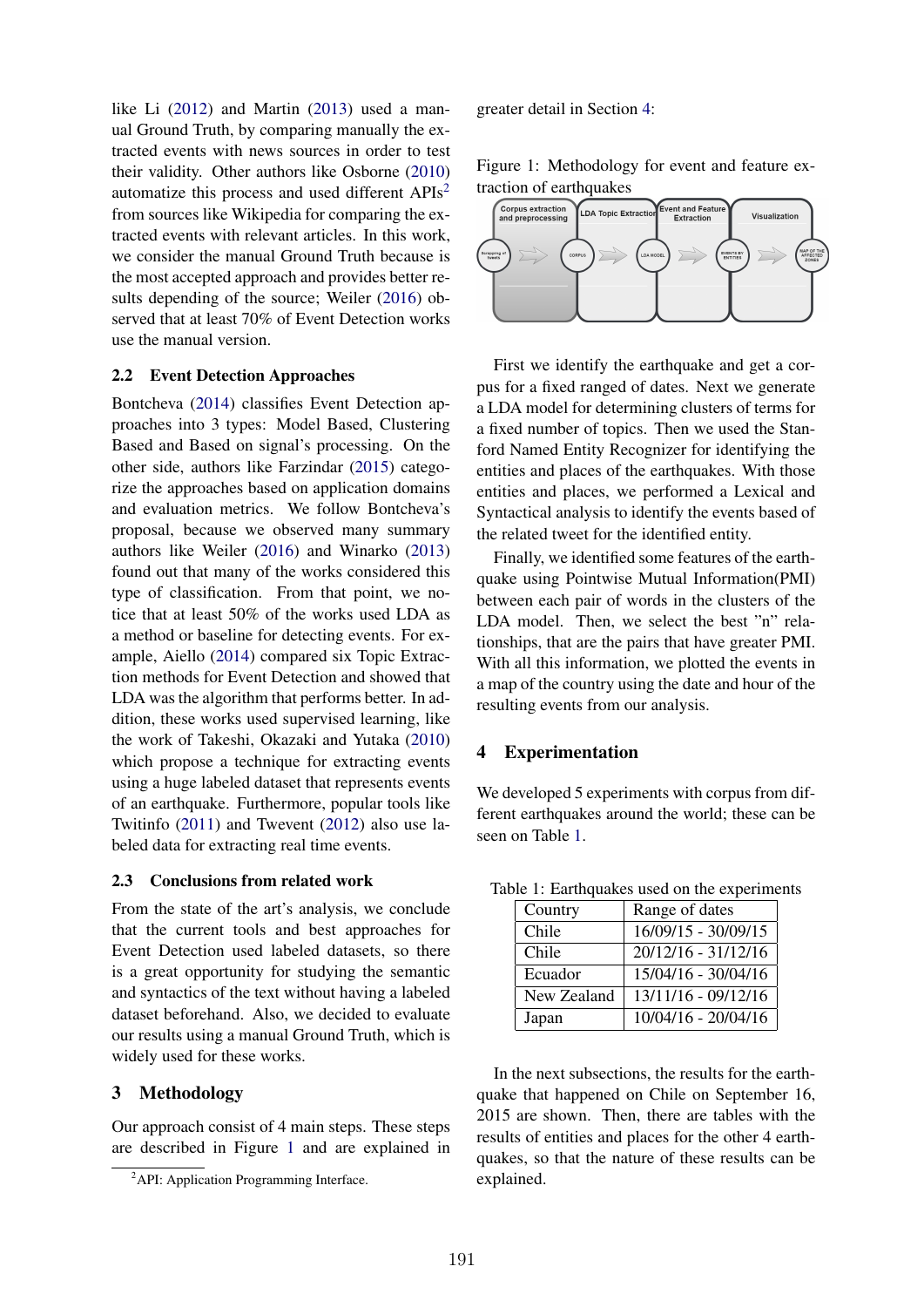like Li (2012) and Martin (2013) used a manual Ground Truth, by comparing manually the extracted events with news sources in order to test their validity. Other authors like Osborne (2010) automatize this process and used different APIs2 from sources like Wikipedia for comparing the extracted events with relevant articles. In this work, we consider the manual Ground Truth because is the most accepted approach and provides better results depending of the source; Weiler (2016) observed that at least 70% of Event Detection works use the manual version.

## 2.2 Event Detection Approaches

Bontcheva (2014) classifies Event Detection approaches into 3 types: Model Based, Clustering Based and Based on signal's processing. On the other side, authors like Farzindar (2015) categorize the approaches based on application domains and evaluation metrics. We follow Bontcheva's proposal, because we observed many summary authors like Weiler (2016) and Winarko (2013) found out that many of the works considered this type of classification. From that point, we notice that at least 50% of the works used LDA as a method or baseline for detecting events. For example, Aiello (2014) compared six Topic Extraction methods for Event Detection and showed that LDA was the algorithm that performs better. In addition, these works used supervised learning, like the work of Takeshi, Okazaki and Yutaka (2010) which propose a technique for extracting events using a huge labeled dataset that represents events of an earthquake. Furthermore, popular tools like Twitinfo (2011) and Twevent (2012) also use labeled data for extracting real time events.

#### 2.3 Conclusions from related work

From the state of the art's analysis, we conclude that the current tools and best approaches for Event Detection used labeled datasets, so there is a great opportunity for studying the semantic and syntactics of the text without having a labeled dataset beforehand. Also, we decided to evaluate our results using a manual Ground Truth, which is widely used for these works.

### 3 Methodology

Our approach consist of 4 main steps. These steps are described in Figure 1 and are explained in

greater detail in Section 4:

Figure 1: Methodology for event and feature extraction of earthquakes



First we identify the earthquake and get a corpus for a fixed ranged of dates. Next we generate a LDA model for determining clusters of terms for a fixed number of topics. Then we used the Stanford Named Entity Recognizer for identifying the entities and places of the earthquakes. With those entities and places, we performed a Lexical and Syntactical analysis to identify the events based of the related tweet for the identified entity.

Finally, we identified some features of the earthquake using Pointwise Mutual Information(PMI) between each pair of words in the clusters of the LDA model. Then, we select the best "n" relationships, that are the pairs that have greater PMI. With all this information, we plotted the events in a map of the country using the date and hour of the resulting events from our analysis.

### 4 Experimentation

We developed 5 experiments with corpus from different earthquakes around the world; these can be seen on Table 1.

| Country     | Range of dates                   |
|-------------|----------------------------------|
| Chile       | $\overline{16/09/15} - 30/09/15$ |
| Chile       | 20/12/16 - 31/12/16              |
| Ecuador     | 15/04/16 - 30/04/16              |
| New Zealand | 13/11/16 - 09/12/16              |
| Japan       | 10/04/16 - 20/04/16              |

Table 1: Earthquakes used on the experiments

In the next subsections, the results for the earthquake that happened on Chile on September 16, 2015 are shown. Then, there are tables with the results of entities and places for the other 4 earthquakes, so that the nature of these results can be explained.

<sup>&</sup>lt;sup>2</sup>API: Application Programming Interface.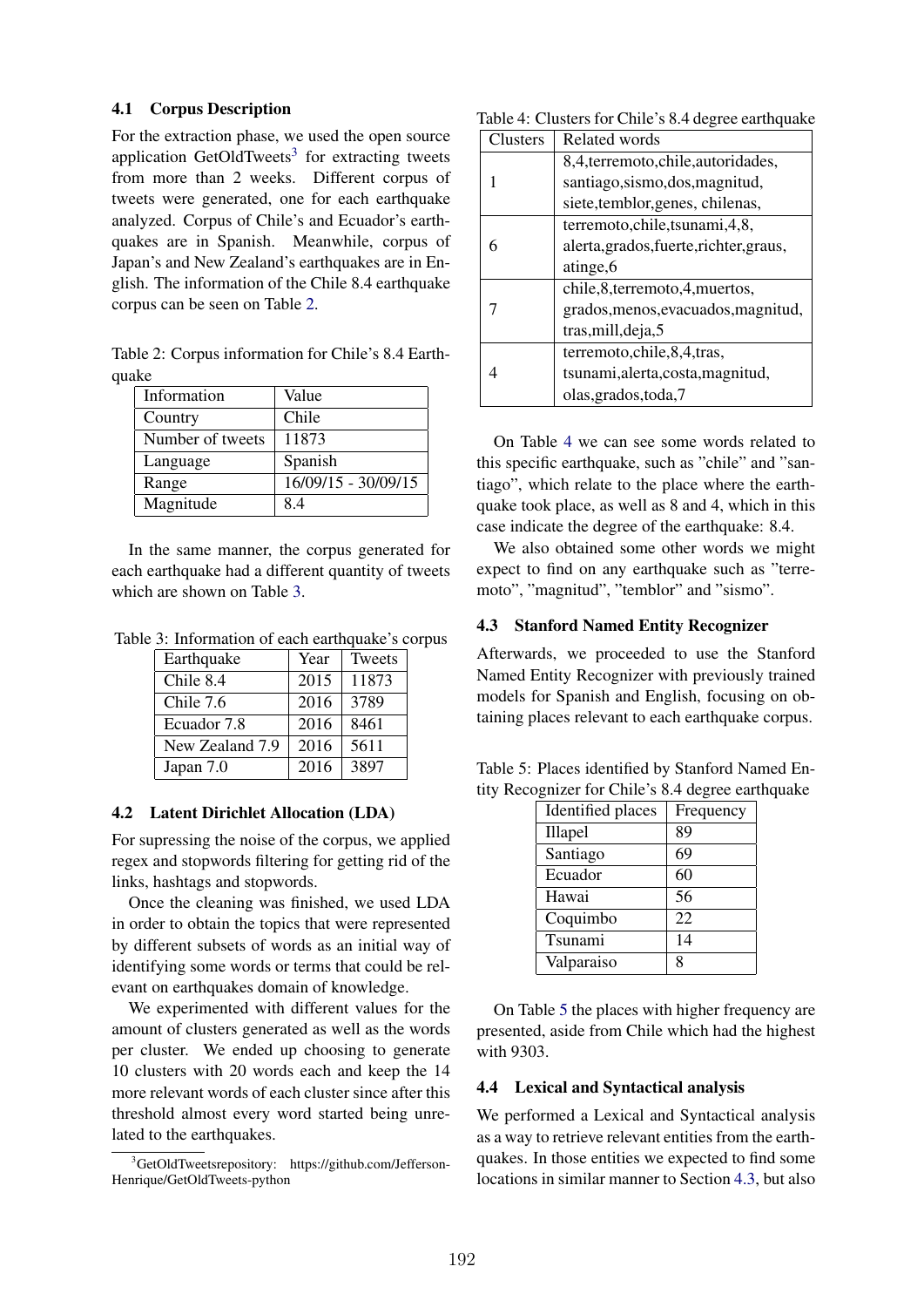#### 4.1 Corpus Description

For the extraction phase, we used the open source application GetOldTweets<sup>3</sup> for extracting tweets from more than 2 weeks. Different corpus of tweets were generated, one for each earthquake analyzed. Corpus of Chile's and Ecuador's earthquakes are in Spanish. Meanwhile, corpus of Japan's and New Zealand's earthquakes are in English. The information of the Chile 8.4 earthquake corpus can be seen on Table 2.

Table 2: Corpus information for Chile's 8.4 Earthquake

| Information      | Value               |
|------------------|---------------------|
| Country          | Chile               |
| Number of tweets | 11873               |
| Language         | Spanish             |
| Range            | 16/09/15 - 30/09/15 |
| Magnitude        | 84                  |

In the same manner, the corpus generated for each earthquake had a different quantity of tweets which are shown on Table 3.

Table 3: Information of each earthquake's corpus

| Earthquake      | Year | Tweets |
|-----------------|------|--------|
| Chile 8.4       | 2015 | 11873  |
| Chile 7.6       | 2016 | 3789   |
| Ecuador 7.8     | 2016 | 8461   |
| New Zealand 7.9 | 2016 | 5611   |
| Japan 7.0       | 2016 | 3897   |

## 4.2 Latent Dirichlet Allocation (LDA)

For supressing the noise of the corpus, we applied regex and stopwords filtering for getting rid of the links, hashtags and stopwords.

Once the cleaning was finished, we used LDA in order to obtain the topics that were represented by different subsets of words as an initial way of identifying some words or terms that could be relevant on earthquakes domain of knowledge.

We experimented with different values for the amount of clusters generated as well as the words per cluster. We ended up choosing to generate 10 clusters with 20 words each and keep the 14 more relevant words of each cluster since after this threshold almost every word started being unrelated to the earthquakes.

| Table 4: Clusters for Chile's 8.4 degree earthquake |  |  |
|-----------------------------------------------------|--|--|
|-----------------------------------------------------|--|--|

| Clusters | Related words                           |
|----------|-----------------------------------------|
|          | 8,4, terremoto, chile, autoridades,     |
|          | santiago, sismo, dos, magnitud,         |
|          | siete, temblor, genes, chilenas,        |
|          | terremoto, chile, tsunami, 4,8,         |
|          | alerta, grados, fuerte, richter, graus, |
|          | atinge, 6                               |
|          | chile, 8, terremoto, 4, muertos,        |
|          | grados, menos, evacuados, magnitud,     |
|          | tras, mill, deja, 5                     |
|          | terremoto, chile, 8, 4, tras,           |
|          | tsunami, alerta, costa, magnitud,       |
|          | olas, grados, toda, 7                   |

On Table 4 we can see some words related to this specific earthquake, such as "chile" and "santiago", which relate to the place where the earthquake took place, as well as 8 and 4, which in this case indicate the degree of the earthquake: 8.4.

We also obtained some other words we might expect to find on any earthquake such as "terremoto", "magnitud", "temblor" and "sismo".

## 4.3 Stanford Named Entity Recognizer

Afterwards, we proceeded to use the Stanford Named Entity Recognizer with previously trained models for Spanish and English, focusing on obtaining places relevant to each earthquake corpus.

Table 5: Places identified by Stanford Named Entity Recognizer for Chile's 8.4 degree earthquake

| Identified places | Frequency |
|-------------------|-----------|
| Illapel           | 89        |
| Santiago          | 69        |
| Ecuador           | 60        |
| Hawai             | 56        |
| Coquimbo          | 22        |
| Tsunami           | 14        |
| Valparaiso        | 8         |

On Table 5 the places with higher frequency are presented, aside from Chile which had the highest with 9303.

#### 4.4 Lexical and Syntactical analysis

We performed a Lexical and Syntactical analysis as a way to retrieve relevant entities from the earthquakes. In those entities we expected to find some locations in similar manner to Section 4.3, but also

<sup>3</sup> GetOldTweetsrepository: https://github.com/Jefferson-Henrique/GetOldTweets-python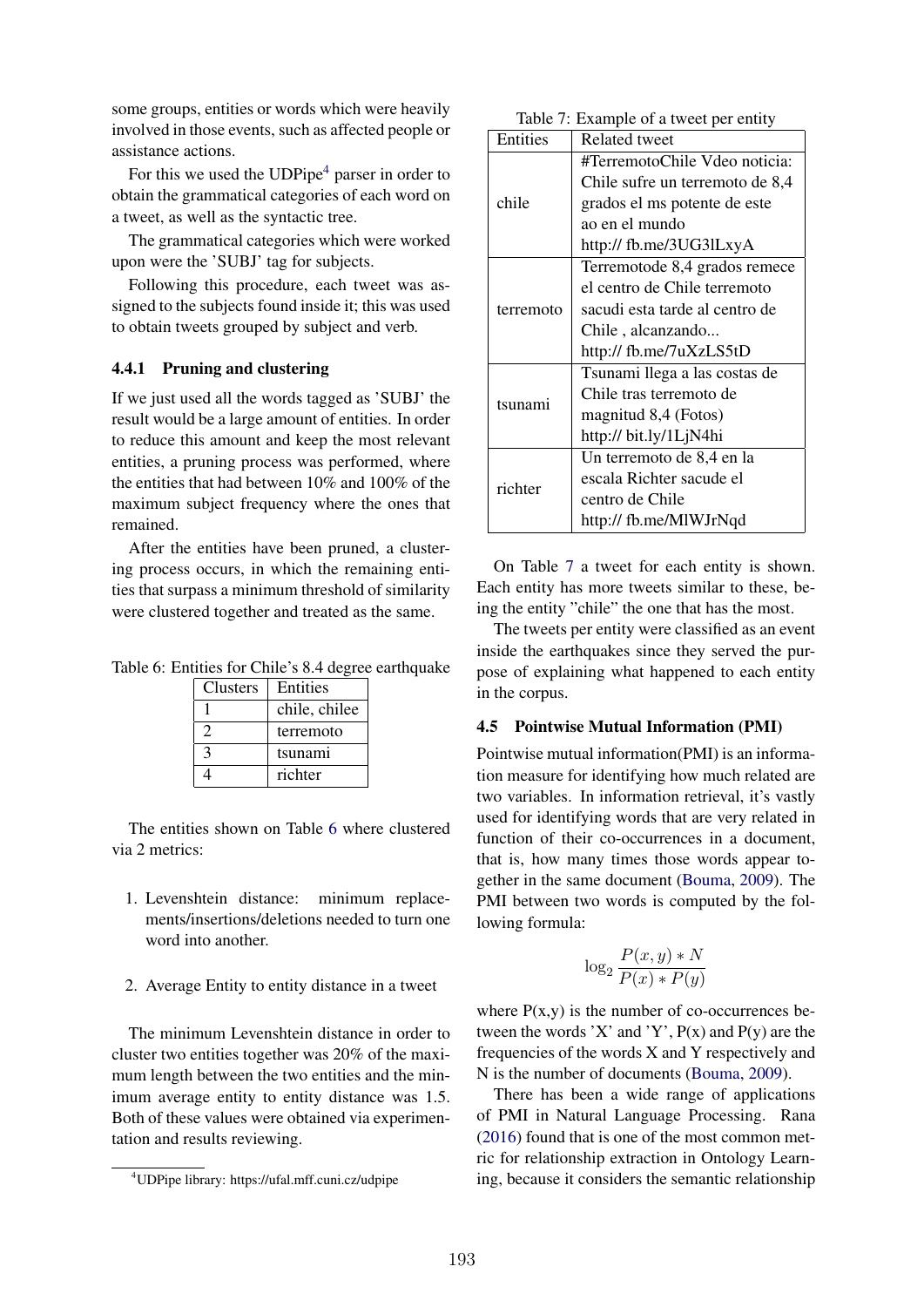some groups, entities or words which were heavily involved in those events, such as affected people or assistance actions.

For this we used the  $\text{UDPipe}^4$  parser in order to obtain the grammatical categories of each word on a tweet, as well as the syntactic tree.

The grammatical categories which were worked upon were the 'SUBJ' tag for subjects.

Following this procedure, each tweet was assigned to the subjects found inside it; this was used to obtain tweets grouped by subject and verb.

#### 4.4.1 Pruning and clustering

If we just used all the words tagged as 'SUBJ' the result would be a large amount of entities. In order to reduce this amount and keep the most relevant entities, a pruning process was performed, where the entities that had between 10% and 100% of the maximum subject frequency where the ones that remained.

After the entities have been pruned, a clustering process occurs, in which the remaining entities that surpass a minimum threshold of similarity were clustered together and treated as the same.

Table 6: Entities for Chile's 8.4 degree earthquake

| <b>Clusters</b> | Entities      |
|-----------------|---------------|
|                 | chile, chilee |
|                 | terremoto     |
| $\mathbf{z}$    | tsunami       |
|                 | richter       |

The entities shown on Table 6 where clustered via 2 metrics:

- 1. Levenshtein distance: minimum replacements/insertions/deletions needed to turn one word into another.
- 2. Average Entity to entity distance in a tweet

The minimum Levenshtein distance in order to cluster two entities together was 20% of the maximum length between the two entities and the minimum average entity to entity distance was 1.5. Both of these values were obtained via experimentation and results reviewing.

| Table 7: Example of a tweet per entity |  |  |
|----------------------------------------|--|--|
|                                        |  |  |

| Entities                  | Related tweet                   |
|---------------------------|---------------------------------|
|                           | #TerremotoChile Vdeo noticia:   |
|                           | Chile sufre un terremoto de 8,4 |
| chile                     | grados el ms potente de este    |
|                           | ao en el mundo                  |
|                           | http:// fb.me/3UG3lLxyA         |
|                           | Terremotode 8,4 grados remece   |
|                           | el centro de Chile terremoto    |
| terremoto                 | sacudi esta tarde al centro de  |
|                           | Chile, alcanzando               |
|                           | http:// fb.me/7uXzLS5tD         |
|                           | Tsunami llega a las costas de   |
| tsunami                   | Chile tras terremoto de         |
|                           | magnitud 8,4 (Fotos)            |
|                           | http:// bit.ly/1LjN4hi          |
| Un terremoto de 8,4 en la |                                 |
| richter                   | escala Richter sacude el        |
|                           | centro de Chile                 |
|                           | http:// fb.me/MlWJrNqd          |

On Table 7 a tweet for each entity is shown. Each entity has more tweets similar to these, being the entity "chile" the one that has the most.

The tweets per entity were classified as an event inside the earthquakes since they served the purpose of explaining what happened to each entity in the corpus.

#### 4.5 Pointwise Mutual Information (PMI)

Pointwise mutual information(PMI) is an information measure for identifying how much related are two variables. In information retrieval, it's vastly used for identifying words that are very related in function of their co-occurrences in a document, that is, how many times those words appear together in the same document (Bouma, 2009). The PMI between two words is computed by the following formula:

$$
\log_2 \frac{P(x, y) * N}{P(x) * P(y)}
$$

where  $P(x,y)$  is the number of co-occurrences between the words 'X' and 'Y',  $P(x)$  and  $P(y)$  are the frequencies of the words X and Y respectively and N is the number of documents (Bouma, 2009).

There has been a wide range of applications of PMI in Natural Language Processing. Rana (2016) found that is one of the most common metric for relationship extraction in Ontology Learning, because it considers the semantic relationship

<sup>4</sup> UDPipe library: https://ufal.mff.cuni.cz/udpipe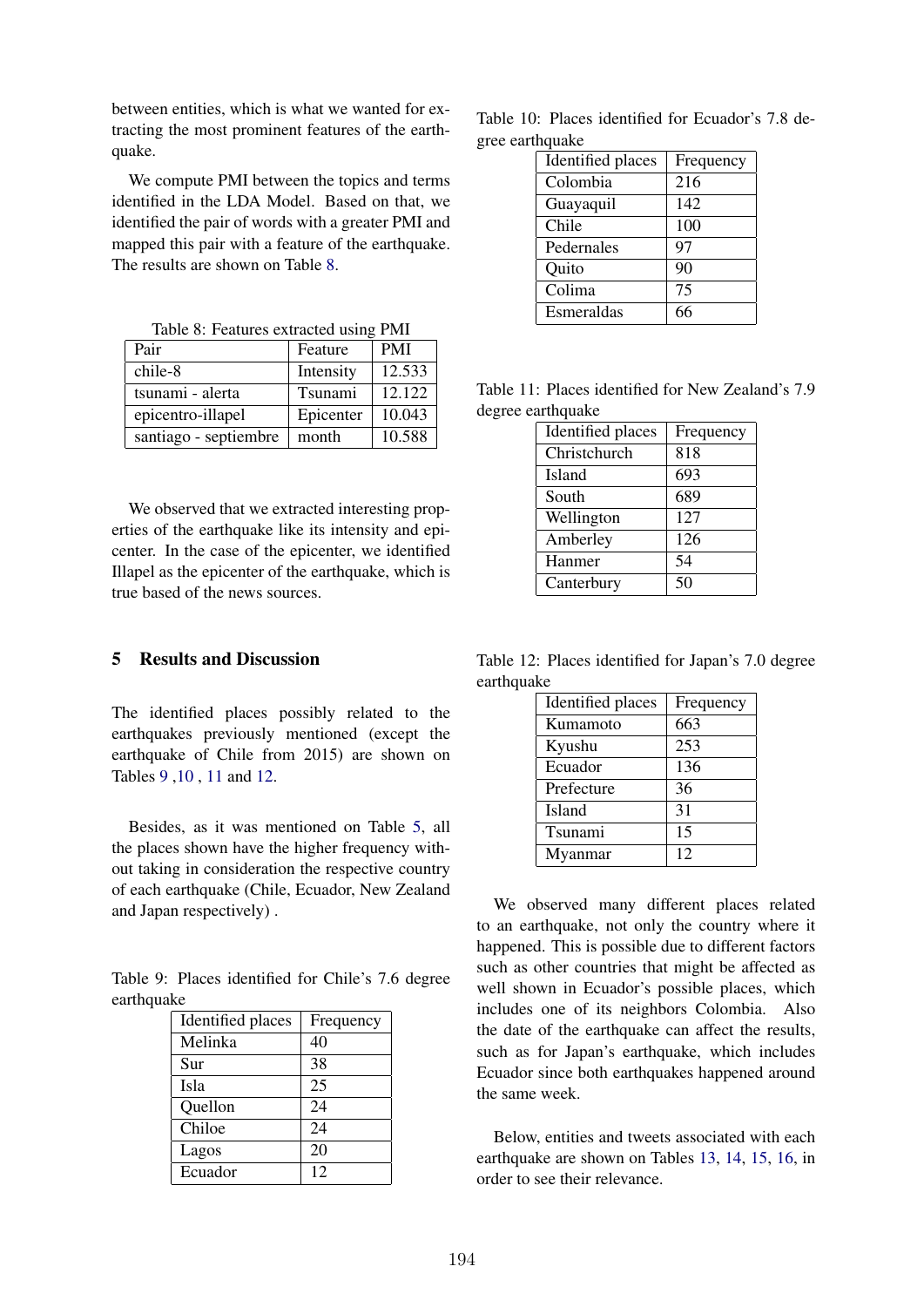between entities, which is what we wanted for extracting the most prominent features of the earthquake.

We compute PMI between the topics and terms identified in the LDA Model. Based on that, we identified the pair of words with a greater PMI and mapped this pair with a feature of the earthquake. The results are shown on Table 8.

Table 8: Features extracted using PMI

| Pair                  | Feature   | <b>PMI</b> |
|-----------------------|-----------|------------|
| chile-8               | Intensity | 12.533     |
| tsunami - alerta      | Tsunami   | 12.122     |
| epicentro-illapel     | Epicenter | 10.043     |
| santiago - septiembre | month     | 10.588     |

We observed that we extracted interesting properties of the earthquake like its intensity and epicenter. In the case of the epicenter, we identified Illapel as the epicenter of the earthquake, which is true based of the news sources.

# 5 Results and Discussion

The identified places possibly related to the earthquakes previously mentioned (except the earthquake of Chile from 2015) are shown on Tables 9 ,10 , 11 and 12.

Besides, as it was mentioned on Table 5, all the places shown have the higher frequency without taking in consideration the respective country of each earthquake (Chile, Ecuador, New Zealand and Japan respectively) .

Table 9: Places identified for Chile's 7.6 degree earthquake

| Identified places | Frequency |
|-------------------|-----------|
| Melinka           | 40        |
| Sur               | 38        |
| Isla              | 25        |
| Quellon           | 24        |
| Chiloe            | 24        |
| Lagos             | 20        |
| Ecuador           | 12        |

Table 10: Places identified for Ecuador's 7.8 degree earthquake

| Identified places | Frequency |
|-------------------|-----------|
| Colombia          | 216       |
| Guayaquil         | 142       |
| Chile             | 100       |
| Pedernales        | 97        |
| Quito             | 90        |
| Colima            | 75        |
| Esmeraldas        | 66        |

Table 11: Places identified for New Zealand's 7.9 degree earthquake

| Identified places | Frequency |
|-------------------|-----------|
| Christchurch      | 818       |
| Island            | 693       |
| South             | 689       |
| Wellington        | 127       |
| Amberley          | 126       |
| Hanmer            | 54        |
| Canterbury        | 50        |

Table 12: Places identified for Japan's 7.0 degree earthquake

| Identified places | Frequency |
|-------------------|-----------|
| Kumamoto          | 663       |
| Kyushu            | 253       |
| Ecuador           | 136       |
| Prefecture        | 36        |
| Island            | 31        |
| Tsunami           | 15        |
| Myanmar           | 12        |

We observed many different places related to an earthquake, not only the country where it happened. This is possible due to different factors such as other countries that might be affected as well shown in Ecuador's possible places, which includes one of its neighbors Colombia. Also the date of the earthquake can affect the results, such as for Japan's earthquake, which includes Ecuador since both earthquakes happened around the same week.

Below, entities and tweets associated with each earthquake are shown on Tables 13, 14, 15, 16, in order to see their relevance.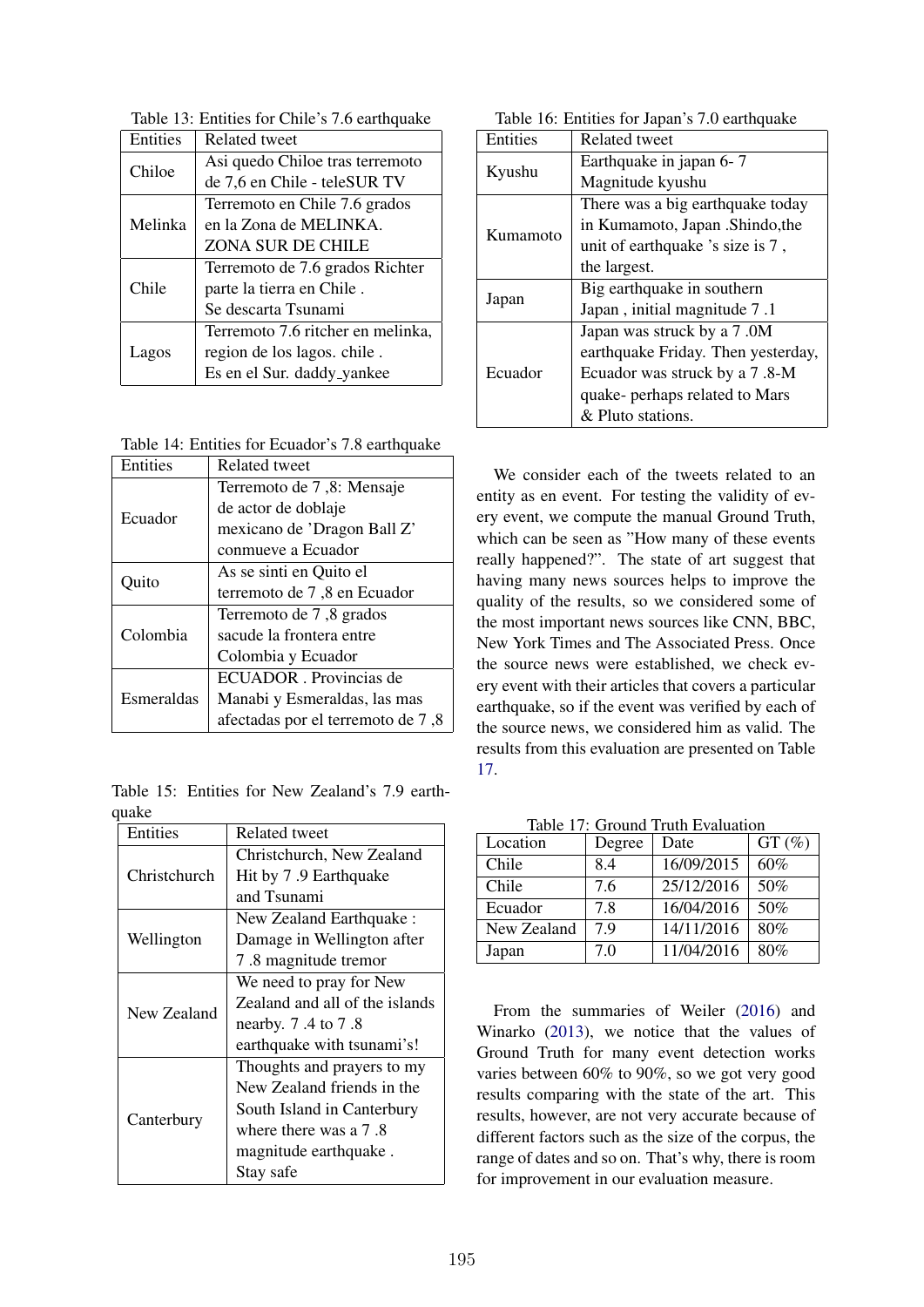Table 13: Entities for Chile's 7.6 earthquake

| Entities | <b>Related tweet</b>              |  |
|----------|-----------------------------------|--|
| Chiloe   | Asi quedo Chiloe tras terremoto   |  |
|          | de 7,6 en Chile - teleSUR TV      |  |
|          | Terremoto en Chile 7.6 grados     |  |
| Melinka  | en la Zona de MELINKA.            |  |
|          | ZONA SUR DE CHILE                 |  |
|          | Terremoto de 7.6 grados Richter   |  |
| Chile    | parte la tierra en Chile.         |  |
|          | Se descarta Tsunami               |  |
|          | Terremoto 7.6 ritcher en melinka, |  |
| Lagos    | region de los lagos. chile.       |  |
|          | Es en el Sur. daddy_yankee        |  |

Table 14: Entities for Ecuador's 7.8 earthquake

| Entities   | Related tweet                     |  |
|------------|-----------------------------------|--|
| Ecuador    | Terremoto de 7,8: Mensaje         |  |
|            | de actor de doblaje               |  |
|            | mexicano de 'Dragon Ball Z'       |  |
|            | conmueve a Ecuador                |  |
| Ouito      | As se sinti en Quito el           |  |
|            | terremoto de 7,8 en Ecuador       |  |
|            | Terremoto de 7,8 grados           |  |
| Colombia   | sacude la frontera entre          |  |
|            | Colombia y Ecuador                |  |
|            | ECUADOR. Provincias de            |  |
| Esmeraldas | Manabi y Esmeraldas, las mas      |  |
|            | afectadas por el terremoto de 7,8 |  |

Table 15: Entities for New Zealand's 7.9 earthquake

| Entities     | Related tweet                  |  |  |
|--------------|--------------------------------|--|--|
|              | Christchurch, New Zealand      |  |  |
| Christchurch | Hit by 7.9 Earthquake          |  |  |
|              | and Tsunami                    |  |  |
|              | New Zealand Earthquake:        |  |  |
| Wellington   | Damage in Wellington after     |  |  |
|              | 7.8 magnitude tremor           |  |  |
|              | We need to pray for New        |  |  |
| New Zealand  | Zealand and all of the islands |  |  |
|              | nearby. 7.4 to 7.8             |  |  |
|              | earthquake with tsunami's!     |  |  |
|              | Thoughts and prayers to my     |  |  |
| Canterbury   | New Zealand friends in the     |  |  |
|              | South Island in Canterbury     |  |  |
|              | where there was a 7.8          |  |  |
|              | magnitude earthquake.          |  |  |
|              | Stay safe                      |  |  |

Table 16: Entities for Japan's 7.0 earthquake

| Entities | <b>Related tweet</b>               |  |
|----------|------------------------------------|--|
|          | Earthquake in japan 6-7            |  |
| Kyushu   | Magnitude kyushu                   |  |
|          | There was a big earthquake today   |  |
| Kumamoto | in Kumamoto, Japan .Shindo, the    |  |
|          | unit of earthquake 's size is 7,   |  |
|          | the largest.                       |  |
|          | Big earthquake in southern         |  |
| Japan    | Japan, initial magnitude 7.1       |  |
|          | Japan was struck by a 7.0M         |  |
| Ecuador  | earthquake Friday. Then yesterday, |  |
|          | Ecuador was struck by a 7.8-M      |  |
|          | quake- perhaps related to Mars     |  |
|          | & Pluto stations.                  |  |

We consider each of the tweets related to an entity as en event. For testing the validity of every event, we compute the manual Ground Truth, which can be seen as "How many of these events really happened?". The state of art suggest that having many news sources helps to improve the quality of the results, so we considered some of the most important news sources like CNN, BBC, New York Times and The Associated Press. Once the source news were established, we check every event with their articles that covers a particular earthquake, so if the event was verified by each of the source news, we considered him as valid. The results from this evaluation are presented on Table 17.

| Table 17: Ground Truth Evaluation |  |  |
|-----------------------------------|--|--|
|                                   |  |  |

| Location    | Degree | Date       | $GT(\%)$ |
|-------------|--------|------------|----------|
| Chile       | 8.4    | 16/09/2015 | 60%      |
| Chile       | 7.6    | 25/12/2016 | 50%      |
| Ecuador     | 7.8    | 16/04/2016 | 50%      |
| New Zealand | 79     | 14/11/2016 | 80%      |
| Japan       | 7.0    | 11/04/2016 | 80%      |

From the summaries of Weiler (2016) and Winarko (2013), we notice that the values of Ground Truth for many event detection works varies between 60% to 90%, so we got very good results comparing with the state of the art. This results, however, are not very accurate because of different factors such as the size of the corpus, the range of dates and so on. That's why, there is room for improvement in our evaluation measure.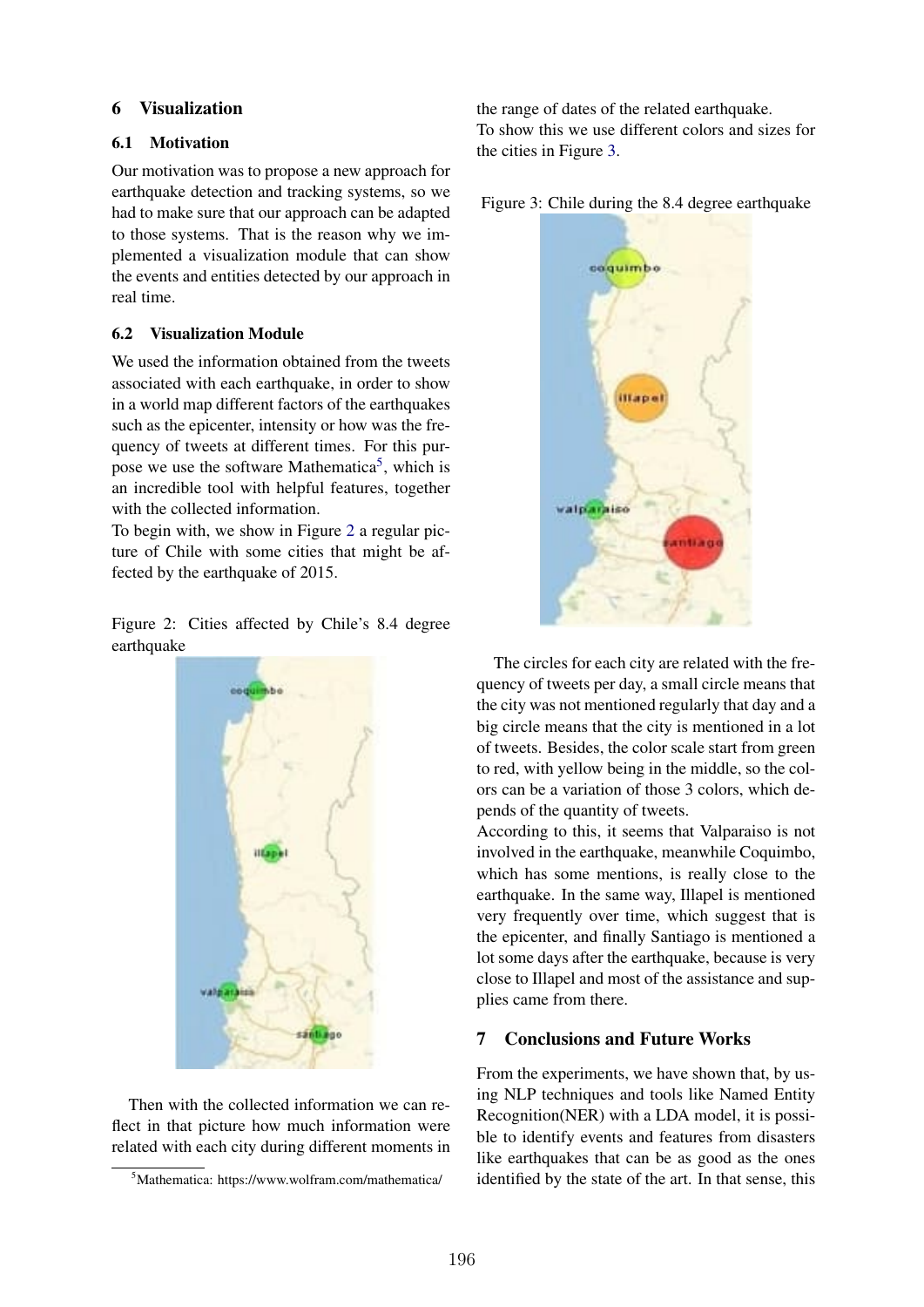### 6 Visualization

### 6.1 Motivation

Our motivation was to propose a new approach for earthquake detection and tracking systems, so we had to make sure that our approach can be adapted to those systems. That is the reason why we implemented a visualization module that can show the events and entities detected by our approach in real time.

# 6.2 Visualization Module

We used the information obtained from the tweets associated with each earthquake, in order to show in a world map different factors of the earthquakes such as the epicenter, intensity or how was the frequency of tweets at different times. For this purpose we use the software Mathematica<sup>5</sup>, which is an incredible tool with helpful features, together with the collected information.

To begin with, we show in Figure 2 a regular picture of Chile with some cities that might be affected by the earthquake of 2015.

Figure 2: Cities affected by Chile's 8.4 degree earthquake



Then with the collected information we can reflect in that picture how much information were related with each city during different moments in the range of dates of the related earthquake. To show this we use different colors and sizes for the cities in Figure 3.

Figure 3: Chile during the 8.4 degree earthquake



The circles for each city are related with the frequency of tweets per day, a small circle means that the city was not mentioned regularly that day and a big circle means that the city is mentioned in a lot of tweets. Besides, the color scale start from green to red, with yellow being in the middle, so the colors can be a variation of those 3 colors, which depends of the quantity of tweets.

According to this, it seems that Valparaiso is not involved in the earthquake, meanwhile Coquimbo, which has some mentions, is really close to the earthquake. In the same way, Illapel is mentioned very frequently over time, which suggest that is the epicenter, and finally Santiago is mentioned a lot some days after the earthquake, because is very close to Illapel and most of the assistance and supplies came from there.

#### 7 Conclusions and Future Works

From the experiments, we have shown that, by using NLP techniques and tools like Named Entity Recognition(NER) with a LDA model, it is possible to identify events and features from disasters like earthquakes that can be as good as the ones identified by the state of the art. In that sense, this

<sup>5</sup> Mathematica: https://www.wolfram.com/mathematica/